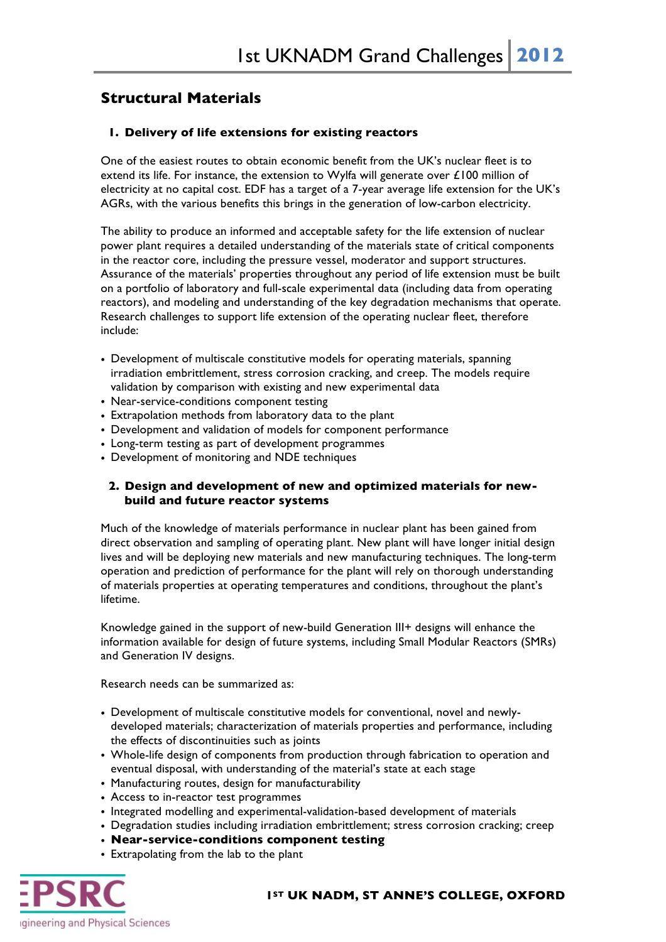# **Structural Materials**

## **1. Delivery of life extensions for existing reactors**

One of the easiest routes to obtain economic benefit from the UK's nuclear fleet is to extend its life. For instance, the extension to Wylfa will generate over  $\pounds$ 100 million of electricity at no capital cost. EDF has a target of a 7-year average life extension for the UK's AGRs, with the various benefits this brings in the generation of low-carbon electricity.

The ability to produce an informed and acceptable safety for the life extension of nuclear power plant requires a detailed understanding of the materials state of critical components in the reactor core, including the pressure vessel, moderator and support structures. Assurance of the materials' properties throughout any period of life extension must be built on a portfolio of laboratory and full-scale experimental data (including data from operating reactors), and modeling and understanding of the key degradation mechanisms that operate. Research challenges to support life extension of the operating nuclear fleet, therefore include:

- Development of multiscale constitutive models for operating materials, spanning irradiation embrittlement, stress corrosion cracking, and creep. The models require validation by comparison with existing and new experimental data
- Near-service-conditions component testing
- Extrapolation methods from laboratory data to the plant
- Development and validation of models for component performance
- Long-term testing as part of development programmes
- Development of monitoring and NDE techniques

## **2. Design and development of new and optimized materials for newbuild and future reactor systems**

Much of the knowledge of materials performance in nuclear plant has been gained from direct observation and sampling of operating plant. New plant will have longer initial design lives and will be deploying new materials and new manufacturing techniques. The long-term operation and prediction of performance for the plant will rely on thorough understanding of materials properties at operating temperatures and conditions, throughout the plant's lifetime.

Knowledge gained in the support of new-build Generation III+ designs will enhance the information available for design of future systems, including Small Modular Reactors (SMRs) and Generation IV designs.

Research needs can be summarized as:

- Development of multiscale constitutive models for conventional, novel and newlydeveloped materials; characterization of materials properties and performance, including the effects of discontinuities such as joints
- Whole-life design of components from production through fabrication to operation and eventual disposal, with understanding of the material's state at each stage
- Manufacturing routes, design for manufacturability
- Access to in-reactor test programmes
- Integrated modelling and experimental-validation-based development of materials
- Degradation studies including irradiation embrittlement; stress corrosion cracking; creep
- **Near-service-conditions component testing**
- Extrapolating from the lab to the plant



#### **1ST UK NADM, ST ANNE'S COLLEGE, OXFORD**